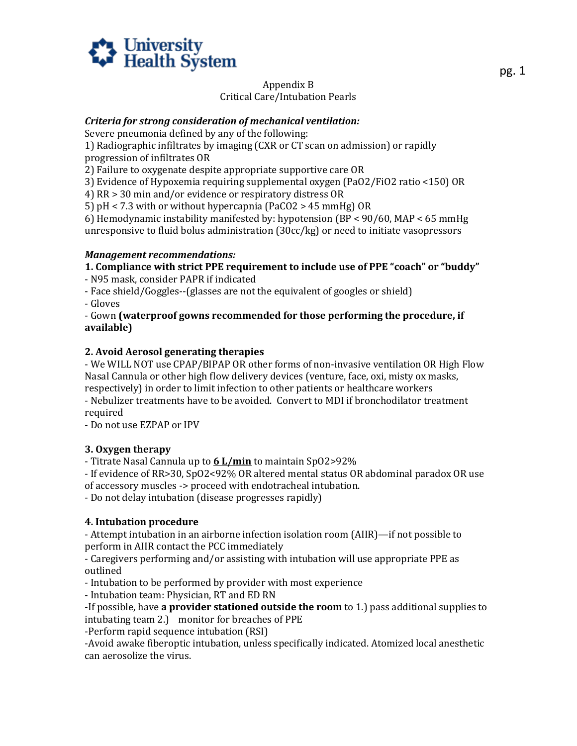

#### Appendix B Critical Care/Intubation Pearls

#### *Criteria for strong consideration of mechanical ventilation:*

Severe pneumonia defined by any of the following:

1) Radiographic infiltrates by imaging (CXR or CT scan on admission) or rapidly progression of infiltrates OR

2) Failure to oxygenate despite appropriate supportive care OR

3) Evidence of Hypoxemia requiring supplemental oxygen (PaO2/FiO2 ratio <150) OR

4) RR > 30 min and/or evidence or respiratory distress OR

5) pH < 7.3 with or without hypercapnia (PaCO2 > 45 mmHg) OR

6) Hemodynamic instability manifested by: hypotension (BP < 90/60, MAP < 65 mmHg unresponsive to fluid bolus administration (30cc/kg) or need to initiate vasopressors

#### *Management recommendations:*

# **1. Compliance with strict PPE requirement to include use of PPE "coach" or "buddy"**

- N95 mask, consider PAPR if indicated

- Face shield/Goggles--(glasses are not the equivalent of googles or shield)

- Gloves

- Gown **(waterproof gowns recommended for those performing the procedure, if available)** 

#### **2. Avoid Aerosol generating therapies**

- We WILL NOT use CPAP/BIPAP OR other forms of non-invasive ventilation OR High Flow Nasal Cannula or other high flow delivery devices (venture, face, oxi, misty ox masks, respectively) in order to limit infection to other patients or healthcare workers

- Nebulizer treatments have to be avoided. Convert to MDI if bronchodilator treatment required

- Do not use EZPAP or IPV

# **3. Oxygen therapy**

- Titrate Nasal Cannula up to **6 L/min** to maintain SpO2>92%

 of accessory muscles -> proceed with endotracheal intubation. - If evidence of RR>30, SpO2<92% OR altered mental status OR abdominal paradox OR use

- Do not delay intubation (disease progresses rapidly)

# **4. Intubation procedure**

- Attempt intubation in an airborne infection isolation room (AIIR)—if not possible to perform in AIIR contact the PCC immediately

- Caregivers performing and/or assisting with intubation will use appropriate PPE as outlined

- Intubation to be performed by provider with most experience

- Intubation team: Physician, RT and ED RN

-If possible, have **a provider stationed outside the room** to 1.) pass additional supplies to intubating team 2.) monitor for breaches of PPE

-Perform rapid sequence intubation (RSI)

-Avoid awake fiberoptic intubation, unless specifically indicated. Atomized local anesthetic can aerosolize the virus.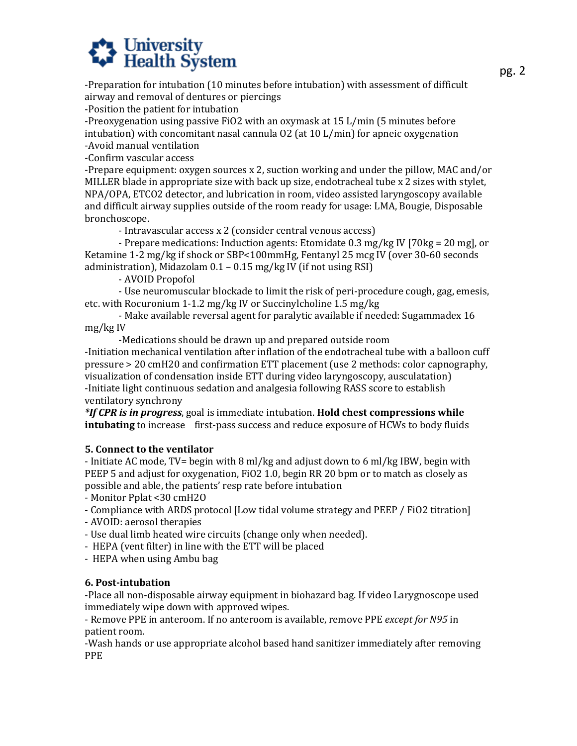# **A University**<br>**Health System**

 -Preparation for intubation (10 minutes before intubation) with assessment of difficult airway and removal of dentures or piercings

-Position the patient for intubation

-Preoxygenation using passive FiO2 with an oxymask at 15 L/min (5 minutes before intubation) with concomitant nasal cannula O2 (at 10 L/min) for apneic oxygenation -Avoid manual ventilation

-Confirm vascular access

-Prepare equipment: oxygen sources x 2, suction working and under the pillow, MAC and/or MILLER blade in appropriate size with back up size, endotracheal tube x 2 sizes with stylet, NPA/OPA, ETCO2 detector, and lubrication in room, video assisted laryngoscopy available and difficult airway supplies outside of the room ready for usage: LMA, Bougie, Disposable bronchoscope.

- Intravascular access x 2 (consider central venous access)

- Prepare medications: Induction agents: Etomidate 0.3 mg/kg IV [70kg = 20 mg], or Ketamine 1-2 mg/kg if shock or SBP<100mmHg, Fentanyl 25 mcg IV (over 30-60 seconds administration), Midazolam 0.1 – 0.15 mg/kg IV (if not using RSI)

- AVOID Propofol

- Use neuromuscular blockade to limit the risk of peri-procedure cough, gag, emesis, etc. with Rocuronium 1-1.2 mg/kg IV or Succinylcholine 1.5 mg/kg

- Make available reversal agent for paralytic available if needed: Sugammadex 16 mg/kg IV

-Medications should be drawn up and prepared outside room

-Initiation mechanical ventilation after inflation of the endotracheal tube with a balloon cuff pressure > 20 cmH20 and confirmation ETT placement (use 2 methods: color capnography, visualization of condensation inside ETT during video laryngoscopy, ausculatation) -Initiate light continuous sedation and analgesia following RASS score to establish ventilatory synchrony

 **intubating** to increase first-pass success and reduce exposure of HCWs to body fluids *\*If CPR is in progress*, goal is immediate intubation. **Hold chest compressions while** 

# **5. Connect to the ventilator**

- Initiate AC mode, TV= begin with 8 ml/kg and adjust down to 6 ml/kg IBW, begin with PEEP 5 and adjust for oxygenation, FiO2 1.0, begin RR 20 bpm or to match as closely as possible and able, the patients' resp rate before intubation

- Monitor Pplat <30 cmH2O

- Compliance with ARDS protocol [Low tidal volume strategy and PEEP / FiO2 titration]

- AVOID: aerosol therapies

- Use dual limb heated wire circuits (change only when needed).

- HEPA (vent filter) in line with the ETT will be placed

- HEPA when using Ambu bag

# **6. Post-intubation**

-Place all non-disposable airway equipment in biohazard bag. If video Larygnoscope used immediately wipe down with approved wipes.

- Remove PPE in anteroom. If no anteroom is available, remove PPE *except for N95* in patient room.

 -Wash hands or use appropriate alcohol based hand sanitizer immediately after removing PPE